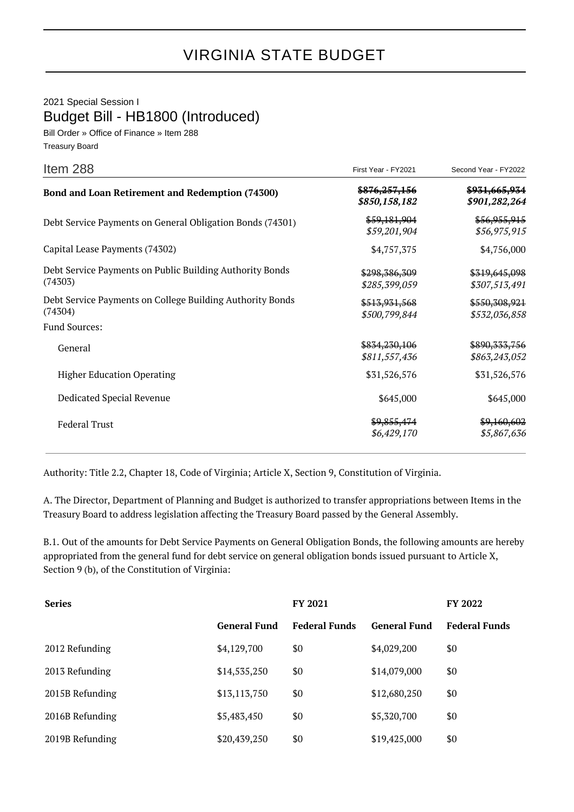2021 Special Session I Budget Bill - HB1800 (Introduced)

Bill Order » Office of Finance » Item 288 Treasury Board

| Item 288                                                             | First Year - FY2021                       | Second Year - FY2022             |
|----------------------------------------------------------------------|-------------------------------------------|----------------------------------|
| Bond and Loan Retirement and Redemption (74300)                      | <del>\$876,257,156</del><br>\$850,158,182 | \$931,665,934<br>\$901,282,264   |
| Debt Service Payments on General Obligation Bonds (74301)            | \$59,181,904<br>\$59,201,904              | \$56,955,915<br>\$56,975,915     |
| Capital Lease Payments (74302)                                       | \$4,757,375                               | \$4,756,000                      |
| Debt Service Payments on Public Building Authority Bonds<br>(74303)  | \$298,386,309<br>\$285,399,059            | \$319,645,098<br>\$307,513,491   |
| Debt Service Payments on College Building Authority Bonds<br>(74304) | \$513,931,568<br>\$500,799,844            | \$550,308,921<br>\$532,036,858   |
| <b>Fund Sources:</b>                                                 |                                           |                                  |
| General                                                              | \$834,230,106<br>\$811,557,436            | \$890, 333, 756<br>\$863,243,052 |
| <b>Higher Education Operating</b>                                    | \$31,526,576                              | \$31,526,576                     |
| Dedicated Special Revenue                                            | \$645,000                                 | \$645,000                        |
| <b>Federal Trust</b>                                                 | \$9,855,474<br>\$6,429,170                | \$9,160,602<br>\$5,867,636       |

Authority: Title 2.2, Chapter 18, Code of Virginia; Article X, Section 9, Constitution of Virginia.

A. The Director, Department of Planning and Budget is authorized to transfer appropriations between Items in the Treasury Board to address legislation affecting the Treasury Board passed by the General Assembly.

B.1. Out of the amounts for Debt Service Payments on General Obligation Bonds, the following amounts are hereby appropriated from the general fund for debt service on general obligation bonds issued pursuant to Article X, Section 9 (b), of the Constitution of Virginia:

| <b>Series</b>   |                     | FY 2021              |                     | <b>FY 2022</b>       |
|-----------------|---------------------|----------------------|---------------------|----------------------|
|                 | <b>General Fund</b> | <b>Federal Funds</b> | <b>General Fund</b> | <b>Federal Funds</b> |
| 2012 Refunding  | \$4,129,700         | \$0                  | \$4,029,200         | \$0                  |
| 2013 Refunding  | \$14,535,250        | \$0                  | \$14,079,000        | \$0                  |
| 2015B Refunding | \$13,113,750        | \$0                  | \$12,680,250        | \$0                  |
| 2016B Refunding | \$5,483,450         | \$0                  | \$5,320,700         | \$0                  |
| 2019B Refunding | \$20,439,250        | \$0                  | \$19,425,000        | \$0                  |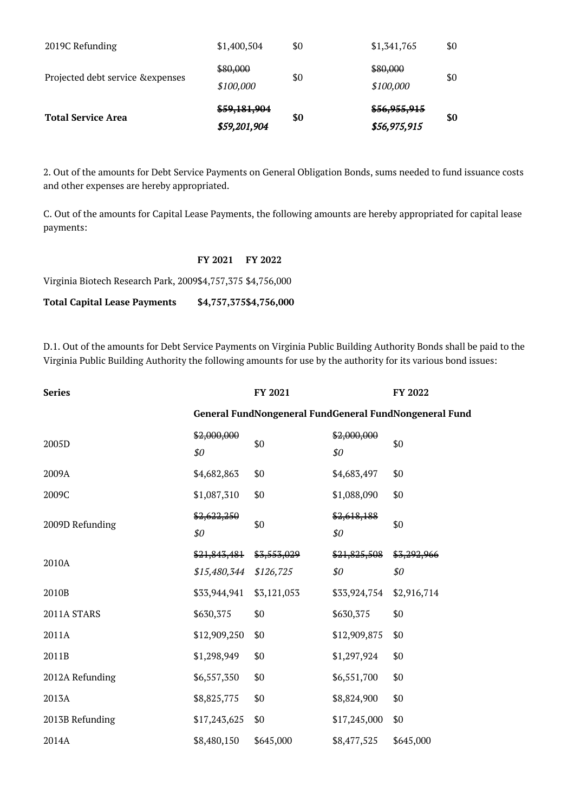| <b>Total Service Area</b>         | \$59,181,904<br>\$59,201,904 | \$0 | \$56,955,915<br>\$56,975,915 | \$0 |
|-----------------------------------|------------------------------|-----|------------------------------|-----|
| Projected debt service & expenses | \$80,000<br>\$100,000        | \$0 | \$80,000<br>\$100,000        | \$0 |
| 2019C Refunding                   | \$1,400,504                  | \$0 | \$1,341,765                  | \$0 |

2. Out of the amounts for Debt Service Payments on General Obligation Bonds, sums needed to fund issuance costs and other expenses are hereby appropriated.

C. Out of the amounts for Capital Lease Payments, the following amounts are hereby appropriated for capital lease payments:

## **FY 2021 FY 2022**

Virginia Biotech Research Park, 2009\$4,757,375 \$4,756,000

**Total Capital Lease Payments \$4,757,375\$4,756,000**

D.1. Out of the amounts for Debt Service Payments on Virginia Public Building Authority Bonds shall be paid to the Virginia Public Building Authority the following amounts for use by the authority for its various bond issues:

| <b>Series</b>   |                    | FY 2021     |                    | FY 2022                                                |
|-----------------|--------------------|-------------|--------------------|--------------------------------------------------------|
|                 |                    |             |                    | General FundNongeneral FundGeneral FundNongeneral Fund |
| 2005D           | \$2,000,000<br>\$0 | \$0         | \$2,000,000<br>\$0 | \$0                                                    |
| 2009A           | \$4,682,863        | \$0         | \$4,683,497        | \$0                                                    |
| 2009C           | \$1,087,310        | \$0         | \$1,088,090        | \$0                                                    |
| 2009D Refunding | \$2,622,250<br>\$0 | \$0         | \$2,618,188<br>\$0 | \$0                                                    |
| 2010A           | \$21,843,481       | \$3,553,029 | \$21,825,508       | \$3,292,966                                            |
|                 | \$15,480,344       | \$126,725   | \$0                | \$0                                                    |
| 2010B           | \$33,944,941       | \$3,121,053 | \$33,924,754       | \$2,916,714                                            |
| 2011A STARS     | \$630,375          | \$0         | \$630,375          | \$0                                                    |
| 2011A           | \$12,909,250       | \$0         | \$12,909,875       | \$0                                                    |
| 2011B           | \$1,298,949        | \$0         | \$1,297,924        | \$0                                                    |
| 2012A Refunding | \$6,557,350        | \$0         | \$6,551,700        | \$0                                                    |
| 2013A           | \$8,825,775        | \$0         | \$8,824,900        | \$0                                                    |
| 2013B Refunding | \$17,243,625       | \$0         | \$17,245,000       | \$0                                                    |
| 2014A           | \$8,480,150        | \$645,000   | \$8,477,525        | \$645,000                                              |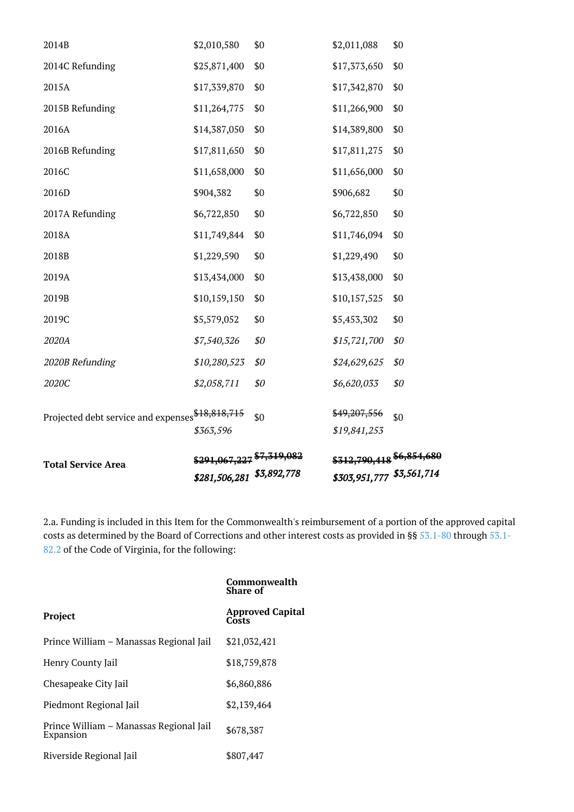|                                                  | \$281,506,281 \$3,892,778            |     |              |     |
|--------------------------------------------------|--------------------------------------|-----|--------------|-----|
| <b>Total Service Area</b>                        | \$291,067,227 <sup>\$7,319,082</sup> |     |              |     |
|                                                  | \$363,596                            |     | \$19,841,253 |     |
| Projected debt service and expenses \$18,818,715 |                                      | \$0 | \$49,207,556 | \$0 |
| 2020C                                            | \$2,058,711                          | \$0 | \$6,620,033  | \$0 |
| 2020B Refunding                                  | \$10,280,523                         | \$0 | \$24,629,625 | \$0 |
| 2020A                                            | \$7,540,326                          | \$0 | \$15,721,700 | \$0 |
| 2019C                                            | \$5,579,052                          | \$0 | \$5,453,302  | \$0 |
| 2019B                                            | \$10,159,150                         | \$0 | \$10,157,525 | \$0 |
| 2019A                                            | \$13,434,000                         | \$0 | \$13,438,000 | \$0 |
| 2018B                                            | \$1,229,590                          | \$0 | \$1,229,490  | \$0 |
| 2018A                                            | \$11,749,844                         | \$0 | \$11,746,094 | \$0 |
| 2017A Refunding                                  | \$6,722,850                          | \$0 | \$6,722,850  | \$0 |
| 2016D                                            | \$904,382                            | \$0 | \$906,682    | \$0 |
| 2016C                                            | \$11,658,000                         | \$0 | \$11,656,000 | \$0 |
| 2016B Refunding                                  | \$17,811,650                         | \$0 | \$17,811,275 | \$0 |
| 2016A                                            | \$14,387,050                         | \$0 | \$14,389,800 | \$0 |
| 2015B Refunding                                  | \$11,264,775                         | \$0 | \$11,266,900 | \$0 |
| 2015A                                            | \$17,339,870                         | \$0 | \$17,342,870 | \$0 |
| 2014C Refunding                                  | \$25,871,400                         | \$0 | \$17,373,650 | \$0 |
| 2014B                                            | \$2,010,580                          | \$0 | \$2,011,088  | \$0 |

2.a. Funding is included in this Item for the Commonwealth's reimbursement of a portion of the approved capital costs as determined by the Board of Corrections and other interest costs as provided in §§ [53.1-80](http://law.lis.virginia.gov/vacode/53.1-80/) through [53.1-](http://law.lis.virginia.gov/vacode/53.1-82.2/) [82.2](http://law.lis.virginia.gov/vacode/53.1-82.2/) of the Code of Virginia, for the following:

|                                                      | Commonwealth<br><b>Share of</b>  |
|------------------------------------------------------|----------------------------------|
| Project                                              | <b>Approved Capital</b><br>Costs |
| Prince William - Manassas Regional Jail              | \$21,032,421                     |
| Henry County Jail                                    | \$18,759,878                     |
| Chesapeake City Jail                                 | \$6,860,886                      |
| Piedmont Regional Jail                               | \$2,139,464                      |
| Prince William – Manassas Regional Jail<br>Expansion | \$678,387                        |
| Riverside Regional Jail                              | \$807,447                        |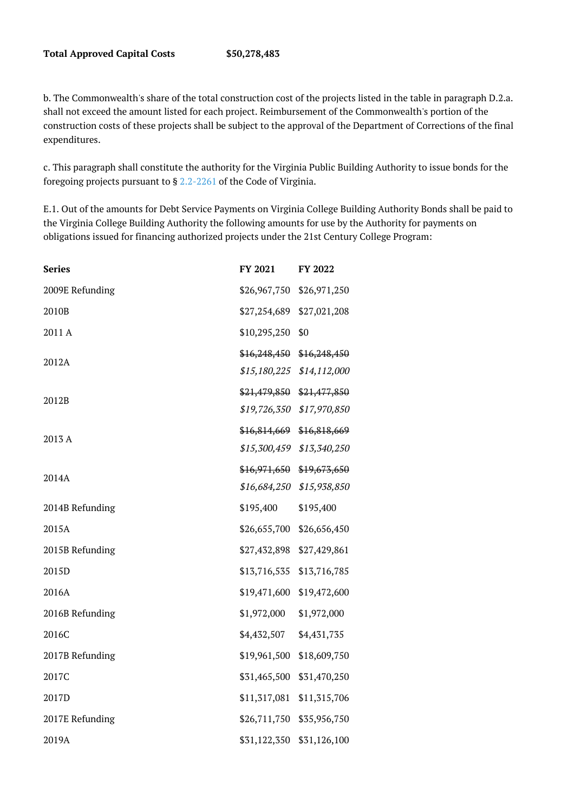b. The Commonwealth's share of the total construction cost of the projects listed in the table in paragraph D.2.a. shall not exceed the amount listed for each project. Reimbursement of the Commonwealth's portion of the construction costs of these projects shall be subject to the approval of the Department of Corrections of the final expenditures.

c. This paragraph shall constitute the authority for the Virginia Public Building Authority to issue bonds for the foregoing projects pursuant to § [2.2-2261](http://law.lis.virginia.gov/vacode/2.2-2261/) of the Code of Virginia.

E.1. Out of the amounts for Debt Service Payments on Virginia College Building Authority Bonds shall be paid to the Virginia College Building Authority the following amounts for use by the Authority for payments on obligations issued for financing authorized projects under the 21st Century College Program:

| <b>Series</b>   | FY 2021      | FY 2022                   |
|-----------------|--------------|---------------------------|
| 2009E Refunding | \$26,967,750 | \$26,971,250              |
| 2010B           | \$27,254,689 | \$27,021,208              |
| 2011 A          | \$10,295,250 | \$0                       |
| 2012A           | \$16,248,450 | \$16,248,450              |
|                 |              | \$15,180,225 \$14,112,000 |
| 2012B           | \$21,479,850 | \$21,477,850              |
|                 | \$19,726,350 | \$17,970,850              |
| 2013 A          | \$16,814,669 | \$16,818,669              |
|                 | \$15,300,459 | \$13,340,250              |
|                 | \$16,971,650 | \$19,673,650              |
| 2014A           | \$16,684,250 | \$15,938,850              |
| 2014B Refunding | \$195,400    | \$195,400                 |
| 2015A           | \$26,655,700 | \$26,656,450              |
| 2015B Refunding | \$27,432,898 | \$27,429,861              |
| 2015D           | \$13,716,535 | \$13,716,785              |
| 2016A           | \$19,471,600 | \$19,472,600              |
| 2016B Refunding | \$1,972,000  | \$1,972,000               |
| 2016C           | \$4,432,507  | \$4,431,735               |
| 2017B Refunding | \$19,961,500 | \$18,609,750              |
| 2017C           | \$31,465,500 | \$31,470,250              |
| 2017D           | \$11,317,081 | \$11,315,706              |
| 2017E Refunding | \$26,711,750 | \$35,956,750              |
| 2019A           | \$31,122,350 | \$31,126,100              |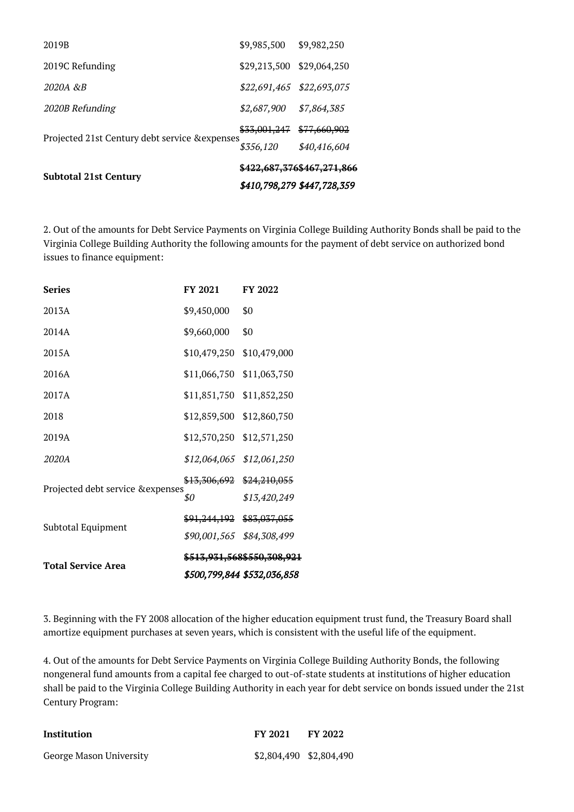|                                                | \$410,798,279 \$447,728,359 |                                       |  |
|------------------------------------------------|-----------------------------|---------------------------------------|--|
| <b>Subtotal 21st Century</b>                   |                             | <del>\$422.687.376\$467.271.866</del> |  |
|                                                | \$356,120                   | \$40,416,604                          |  |
| Projected 21st Century debt service & expenses | \$33,001,247                | \$77,660,902                          |  |
| 2020B Refunding                                | \$2,687,900                 | \$7,864,385                           |  |
| 2020A &B                                       | \$22,691,465 \$22,693,075   |                                       |  |
| 2019C Refunding                                | \$29,213,500                | \$29,064,250                          |  |
| 2019B                                          | \$9,985,500                 | \$9,982,250                           |  |

2. Out of the amounts for Debt Service Payments on Virginia College Building Authority Bonds shall be paid to the Virginia College Building Authority the following amounts for the payment of debt service on authorized bond issues to finance equipment:

| <b>Series</b>                    | FY 2021                 | FY 2022                     |
|----------------------------------|-------------------------|-----------------------------|
| 2013A                            | \$9,450,000             | \$0                         |
| 2014A                            | \$9,660,000             | \$0                         |
| 2015A                            | \$10,479,250            | \$10,479,000                |
| 2016A                            | \$11,066,750            | \$11,063,750                |
| 2017A                            | \$11,851,750            | \$11,852,250                |
| 2018                             | \$12,859,500            | \$12,860,750                |
| 2019A                            | \$12,570,250            | \$12,571,250                |
| 2020A                            | \$12,064,065            | \$12,061,250                |
| Projected debt service &expenses | <del>\$13,306,692</del> | \$24,210,055                |
|                                  | \$0                     | \$13,420,249                |
| Subtotal Equipment               | <del>\$91,244,192</del> | \$83,037,055                |
|                                  | \$90,001,565            | \$84,308,499                |
| <b>Total Service Area</b>        |                         | \$513,931,568\$550,308,921  |
|                                  |                         | \$500,799,844 \$532,036,858 |

3. Beginning with the FY 2008 allocation of the higher education equipment trust fund, the Treasury Board shall amortize equipment purchases at seven years, which is consistent with the useful life of the equipment.

4. Out of the amounts for Debt Service Payments on Virginia College Building Authority Bonds, the following nongeneral fund amounts from a capital fee charged to out-of-state students at institutions of higher education shall be paid to the Virginia College Building Authority in each year for debt service on bonds issued under the 21st Century Program:

| Institution             | FY 2021                 | FY 2022 |
|-------------------------|-------------------------|---------|
| George Mason University | \$2,804,490 \$2,804,490 |         |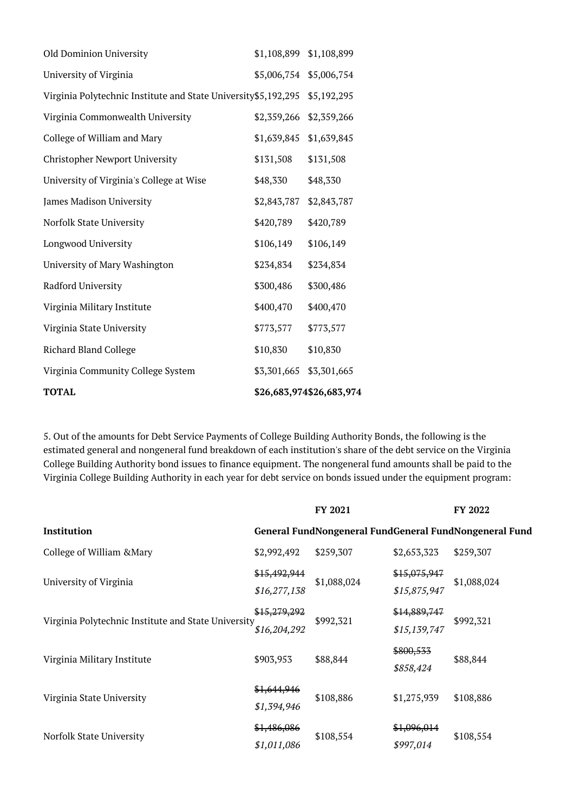| <b>TOTAL</b>                                                    |             | \$26,683,974\$26,683,974 |
|-----------------------------------------------------------------|-------------|--------------------------|
| Virginia Community College System                               | \$3,301,665 | \$3,301,665              |
| <b>Richard Bland College</b>                                    | \$10,830    | \$10,830                 |
| Virginia State University                                       | \$773,577   | \$773,577                |
| Virginia Military Institute                                     | \$400,470   | \$400,470                |
| Radford University                                              | \$300,486   | \$300,486                |
| University of Mary Washington                                   | \$234,834   | \$234,834                |
| Longwood University                                             | \$106,149   | \$106,149                |
| Norfolk State University                                        | \$420,789   | \$420,789                |
| James Madison University                                        | \$2,843,787 | \$2,843,787              |
| University of Virginia's College at Wise                        | \$48,330    | \$48,330                 |
| Christopher Newport University                                  | \$131,508   | \$131,508                |
| College of William and Mary                                     | \$1,639,845 | \$1,639,845              |
| Virginia Commonwealth University                                | \$2,359,266 | \$2,359,266              |
| Virginia Polytechnic Institute and State University \$5,192,295 |             | \$5,192,295              |
| University of Virginia                                          | \$5,006,754 | \$5,006,754              |
| Old Dominion University                                         | \$1,108,899 | \$1,108,899              |

5. Out of the amounts for Debt Service Payments of College Building Authority Bonds, the following is the estimated general and nongeneral fund breakdown of each institution's share of the debt service on the Virginia College Building Authority bond issues to finance equipment. The nongeneral fund amounts shall be paid to the Virginia College Building Authority in each year for debt service on bonds issued under the equipment program:

|                                                     |                              | FY 2021     |                              | FY 2022                                                |
|-----------------------------------------------------|------------------------------|-------------|------------------------------|--------------------------------------------------------|
| Institution                                         |                              |             |                              | General FundNongeneral FundGeneral FundNongeneral Fund |
| College of William & Mary                           | \$2,992,492                  | \$259,307   | \$2,653,323                  | \$259,307                                              |
| University of Virginia                              | \$15,492,944<br>\$16,277,138 | \$1,088,024 | \$15,075,947<br>\$15,875,947 | \$1,088,024                                            |
| Virginia Polytechnic Institute and State University | \$15,279,292<br>\$16,204,292 | \$992,321   | \$14,889,747<br>\$15,139,747 | \$992,321                                              |
| Virginia Military Institute                         | \$903,953                    | \$88,844    | \$800,533<br>\$858,424       | \$88,844                                               |
| Virginia State University                           | \$1,644,946<br>\$1,394,946   | \$108,886   | \$1,275,939                  | \$108,886                                              |
| Norfolk State University                            | \$1,486,086<br>\$1,011,086   | \$108,554   | \$1,096,014<br>\$997,014     | \$108,554                                              |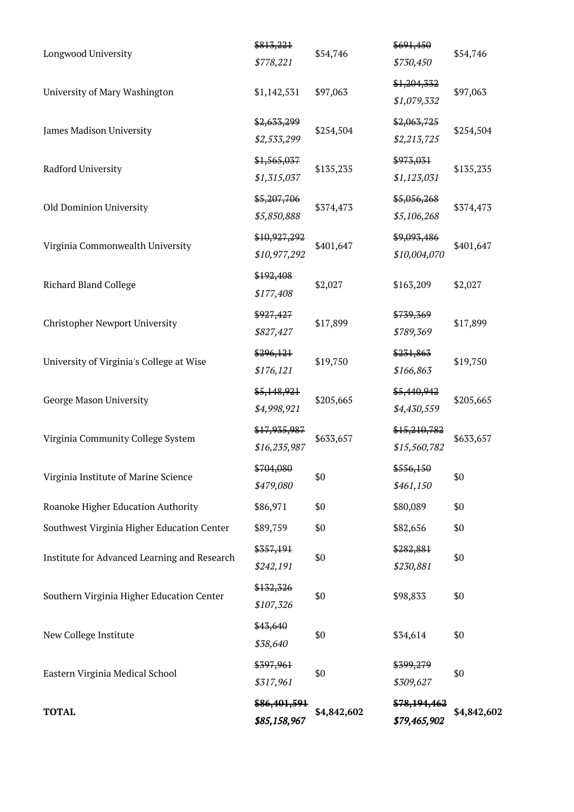| <b>TOTAL</b>                                 | \$86,401,591<br>\$85,158,967 | \$4,842,602 | \$78,194,462<br>\$79,465,902 | \$4,842,602 |
|----------------------------------------------|------------------------------|-------------|------------------------------|-------------|
| Eastern Virginia Medical School              | \$397,961<br>\$317,961       | \$0         | \$399,279<br>\$309,627       | \$0         |
| New College Institute                        | \$43,640<br>\$38,640         | \$0         | \$34,614                     | \$0         |
| Southern Virginia Higher Education Center    | \$132,326<br>\$107,326       | \$0         | \$98,833                     | \$0         |
| Institute for Advanced Learning and Research | \$357,191<br>\$242,191       | \$0         | \$282,881<br>\$230,881       | \$0         |
| Southwest Virginia Higher Education Center   | \$89,759                     | \$0         | \$82,656                     | \$0         |
| Roanoke Higher Education Authority           | \$86,971                     | \$0         | \$80,089                     | \$0         |
| Virginia Institute of Marine Science         | \$704,080<br>\$479,080       | \$0         | \$556,150<br>\$461,150       | \$0         |
| Virginia Community College System            | \$17,935,987<br>\$16,235,987 | \$633,657   | \$15,210,782<br>\$15,560,782 | \$633,657   |
| George Mason University                      | \$5,148,921<br>\$4,998,921   | \$205,665   | \$5,440,942<br>\$4,430,559   | \$205,665   |
| University of Virginia's College at Wise     | \$296,121<br>\$176,121       | \$19,750    | \$231,863<br>\$166,863       | \$19,750    |
| Christopher Newport University               | \$927,427<br>\$827,427       | \$17,899    | \$739,369<br>\$789,369       | \$17,899    |
| <b>Richard Bland College</b>                 | \$192,408<br>\$177,408       | \$2,027     | \$163,209                    | \$2,027     |
| Virginia Commonwealth University             | \$10,927,292<br>\$10,977,292 | \$401,647   | \$9,093,486<br>\$10,004,070  | \$401,647   |
| Old Dominion University                      | \$5,207,706<br>\$5,850,888   | \$374,473   | \$5,056,268<br>\$5,106,268   | \$374,473   |
| Radford University                           | \$1,565,037<br>\$1,315,037   | \$135,235   | \$973,031<br>\$1,123,031     | \$135,235   |
| James Madison University                     | \$2,633,299<br>\$2,533,299   | \$254,504   | \$2,063,725<br>\$2,213,725   | \$254,504   |
| University of Mary Washington                | \$1,142,531                  | \$97,063    | \$1,204,332<br>\$1,079,332   | \$97,063    |
| Longwood University                          | \$813,221<br>\$778,221       | \$54,746    | \$691,450<br>\$730,450       | \$54,746    |